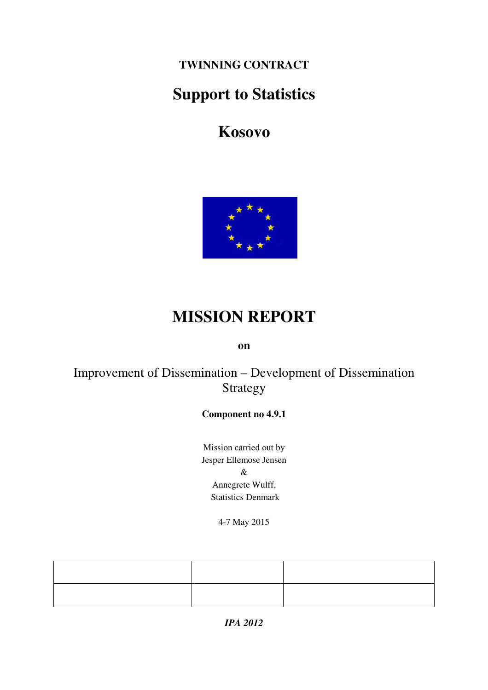**TWINNING CONTRACT** 

# **Support to Statistics**

**Kosovo** 



# **MISSION REPORT**

**on** 

# Improvement of Dissemination – Development of Dissemination Strategy

#### **Component no 4.9.1**

Mission carried out by Jesper Ellemose Jensen & Annegrete Wulff, Statistics Denmark

4-7 May 2015

*IPA 2012*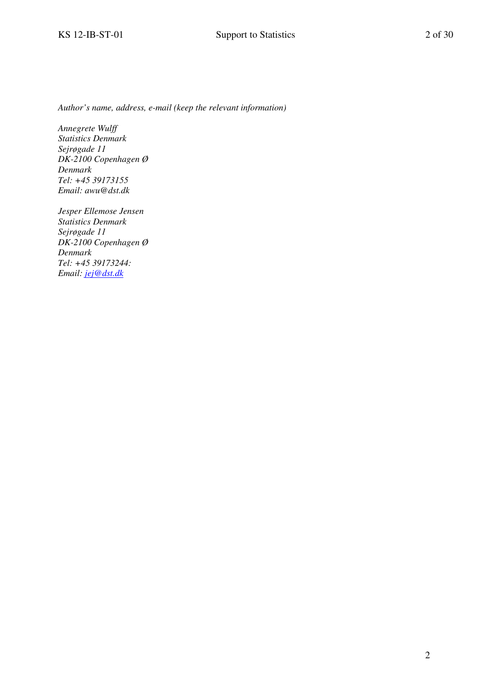*Author's name, address, e-mail (keep the relevant information)* 

*Annegrete Wulff Statistics Denmark Sejrøgade 11 DK-2100 Copenhagen Ø Denmark Tel: +45 39173155 Email: awu@dst.dk* 

*Jesper Ellemose Jensen Statistics Denmark Sejrøgade 11 DK-2100 Copenhagen Ø Denmark Tel: +45 39173244: Email: jej@dst.dk*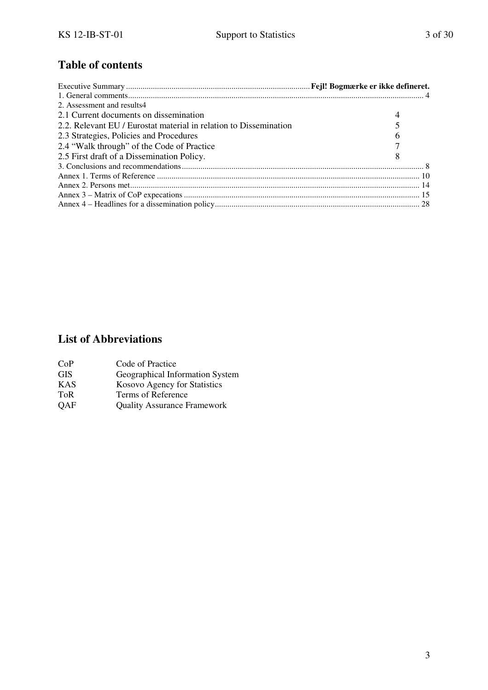# **Table of contents**

| 2. Assessment and results4                                        |   |
|-------------------------------------------------------------------|---|
| 2.1 Current documents on dissemination                            |   |
| 2.2. Relevant EU / Eurostat material in relation to Dissemination |   |
| 2.3 Strategies, Policies and Procedures                           | 6 |
| 2.4 "Walk through" of the Code of Practice                        |   |
| 2.5 First draft of a Dissemination Policy.                        | 8 |
|                                                                   |   |
|                                                                   |   |
|                                                                   |   |
|                                                                   |   |
|                                                                   |   |

# **List of Abbreviations**

| CoP        | Code of Practice                   |
|------------|------------------------------------|
| <b>GIS</b> | Geographical Information System    |
| <b>KAS</b> | Kosovo Agency for Statistics       |
| <b>ToR</b> | Terms of Reference                 |
| <b>QAF</b> | <b>Quality Assurance Framework</b> |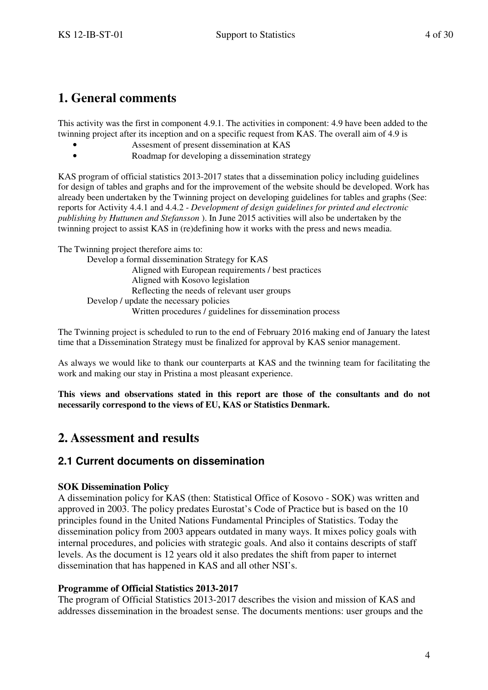# **1. General comments**

This activity was the first in component 4.9.1. The activities in component: 4.9 have been added to the twinning project after its inception and on a specific request from KAS. The overall aim of 4.9 is

- Assesment of present dissemination at KAS
- Roadmap for developing a dissemination strategy

KAS program of official statistics 2013-2017 states that a dissemination policy including guidelines for design of tables and graphs and for the improvement of the website should be developed. Work has already been undertaken by the Twinning project on developing guidelines for tables and graphs (See: reports for Activity 4.4.1 and 4.4.2 - *Development of design guidelines for printed and electronic publishing by Huttunen and Stefansson* ). In June 2015 activities will also be undertaken by the twinning project to assist KAS in (re)defining how it works with the press and news meadia.

The Twinning project therefore aims to:

Develop a formal dissemination Strategy for KAS Aligned with European requirements / best practices Aligned with Kosovo legislation Reflecting the needs of relevant user groups Develop / update the necessary policies Written procedures / guidelines for dissemination process

The Twinning project is scheduled to run to the end of February 2016 making end of January the latest time that a Dissemination Strategy must be finalized for approval by KAS senior management.

As always we would like to thank our counterparts at KAS and the twinning team for facilitating the work and making our stay in Pristina a most pleasant experience.

**This views and observations stated in this report are those of the consultants and do not necessarily correspond to the views of EU, KAS or Statistics Denmark.** 

# **2. Assessment and results**

#### **2.1 Current documents on dissemination**

#### **SOK Dissemination Policy**

A dissemination policy for KAS (then: Statistical Office of Kosovo - SOK) was written and approved in 2003. The policy predates Eurostat's Code of Practice but is based on the 10 principles found in the United Nations Fundamental Principles of Statistics. Today the dissemination policy from 2003 appears outdated in many ways. It mixes policy goals with internal procedures, and policies with strategic goals. And also it contains descripts of staff levels. As the document is 12 years old it also predates the shift from paper to internet dissemination that has happened in KAS and all other NSI's.

#### **Programme of Official Statistics 2013-2017**

The program of Official Statistics 2013-2017 describes the vision and mission of KAS and addresses dissemination in the broadest sense. The documents mentions: user groups and the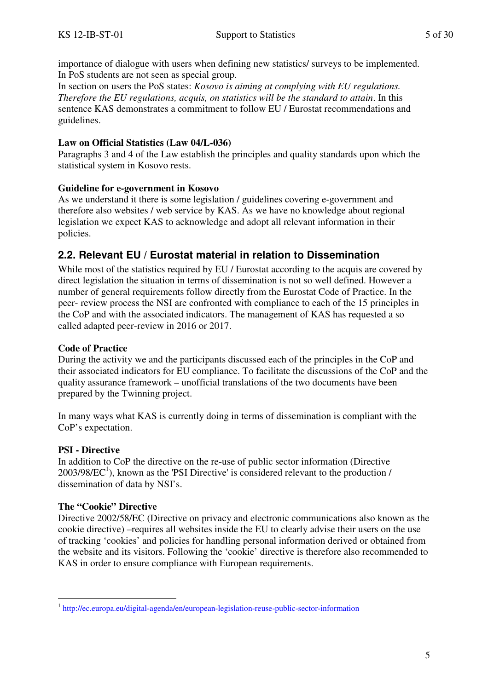importance of dialogue with users when defining new statistics/ surveys to be implemented. In PoS students are not seen as special group.

In section on users the PoS states: *Kosovo is aiming at complying with EU regulations. Therefore the EU regulations, acquis, on statistics will be the standard to attain*. In this sentence KAS demonstrates a commitment to follow EU / Eurostat recommendations and guidelines.

#### **Law on Official Statistics (Law 04/L-036)**

Paragraphs 3 and 4 of the Law establish the principles and quality standards upon which the statistical system in Kosovo rests.

#### **Guideline for e-government in Kosovo**

As we understand it there is some legislation / guidelines covering e-government and therefore also websites / web service by KAS. As we have no knowledge about regional legislation we expect KAS to acknowledge and adopt all relevant information in their policies.

### **2.2. Relevant EU / Eurostat material in relation to Dissemination**

While most of the statistics required by EU / Eurostat according to the acquis are covered by direct legislation the situation in terms of dissemination is not so well defined. However a number of general requirements follow directly from the Eurostat Code of Practice. In the peer- review process the NSI are confronted with compliance to each of the 15 principles in the CoP and with the associated indicators. The management of KAS has requested a so called adapted peer-review in 2016 or 2017.

#### **Code of Practice**

During the activity we and the participants discussed each of the principles in the CoP and their associated indicators for EU compliance. To facilitate the discussions of the CoP and the quality assurance framework – unofficial translations of the two documents have been prepared by the Twinning project.

In many ways what KAS is currently doing in terms of dissemination is compliant with the CoP's expectation.

#### **PSI - Directive**

In addition to CoP the directive on the re-use of public sector information (Directive  $2003/98/EC<sup>1</sup>$ ), known as the 'PSI Directive' is considered relevant to the production / dissemination of data by NSI's.

#### **The "Cookie" Directive**

Directive 2002/58/EC (Directive on privacy and electronic communications also known as the cookie directive) –requires all websites inside the EU to clearly advise their users on the use of tracking 'cookies' and policies for handling personal information derived or obtained from the website and its visitors. Following the 'cookie' directive is therefore also recommended to KAS in order to ensure compliance with European requirements.

 1 http://ec.europa.eu/digital-agenda/en/european-legislation-reuse-public-sector-information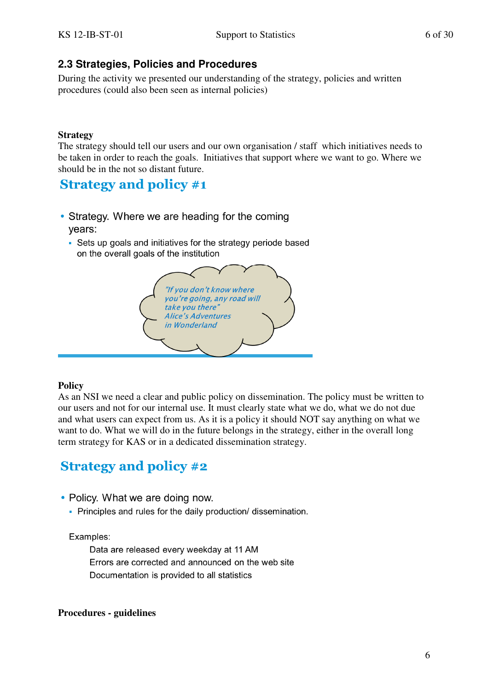# **2.3 Strategies, Policies and Procedures**

During the activity we presented our understanding of the strategy, policies and written procedures (could also been seen as internal policies)

#### **Strategy**

The strategy should tell our users and our own organisation / staff which initiatives needs to be taken in order to reach the goals. Initiatives that support where we want to go. Where we should be in the not so distant future.

# **Strategy and policy #1**

- Strategy. Where we are heading for the coming vears:
	- Sets up goals and initiatives for the strategy periode based on the overall goals of the institution



#### **Policy**

As an NSI we need a clear and public policy on dissemination. The policy must be written to our users and not for our internal use. It must clearly state what we do, what we do not due and what users can expect from us. As it is a policy it should NOT say anything on what we want to do. What we will do in the future belongs in the strategy, either in the overall long term strategy for KAS or in a dedicated dissemination strategy.

# **Strategy and policy #2**

- Policy. What we are doing now.
	- Principles and rules for the daily production/ dissemination.

#### Examples:

Data are released every weekday at 11 AM Errors are corrected and announced on the web site Documentation is provided to all statistics

#### **Procedures - guidelines**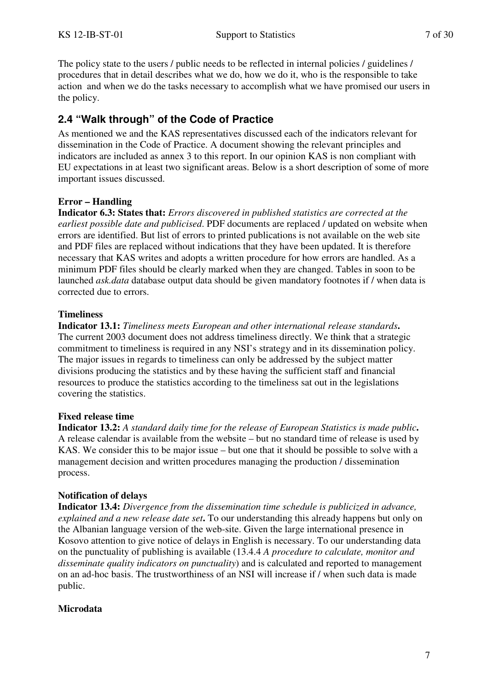The policy state to the users / public needs to be reflected in internal policies / guidelines / procedures that in detail describes what we do, how we do it, who is the responsible to take action and when we do the tasks necessary to accomplish what we have promised our users in the policy.

# **2.4 "Walk through" of the Code of Practice**

As mentioned we and the KAS representatives discussed each of the indicators relevant for dissemination in the Code of Practice. A document showing the relevant principles and indicators are included as annex 3 to this report. In our opinion KAS is non compliant with EU expectations in at least two significant areas. Below is a short description of some of more important issues discussed.

### **Error – Handling**

**Indicator 6.3: States that:** *Errors discovered in published statistics are corrected at the earliest possible date and publicised*. PDF documents are replaced / updated on website when errors are identified. But list of errors to printed publications is not available on the web site and PDF files are replaced without indications that they have been updated. It is therefore necessary that KAS writes and adopts a written procedure for how errors are handled. As a minimum PDF files should be clearly marked when they are changed. Tables in soon to be launched *ask.data* database output data should be given mandatory footnotes if / when data is corrected due to errors.

#### **Timeliness**

**Indicator 13.1:** *Timeliness meets European and other international release standards***.**  The current 2003 document does not address timeliness directly. We think that a strategic commitment to timeliness is required in any NSI's strategy and in its dissemination policy. The major issues in regards to timeliness can only be addressed by the subject matter divisions producing the statistics and by these having the sufficient staff and financial resources to produce the statistics according to the timeliness sat out in the legislations covering the statistics.

#### **Fixed release time**

**Indicator 13.2:** *A standard daily time for the release of European Statistics is made public***.**  A release calendar is available from the website – but no standard time of release is used by KAS. We consider this to be major issue – but one that it should be possible to solve with a management decision and written procedures managing the production / dissemination process.

#### **Notification of delays**

**Indicator 13.4:** *Divergence from the dissemination time schedule is publicized in advance, explained and a new release date set***.** To our understanding this already happens but only on the Albanian language version of the web-site. Given the large international presence in Kosovo attention to give notice of delays in English is necessary. To our understanding data on the punctuality of publishing is available (13.4.4 *A procedure to calculate, monitor and disseminate quality indicators on punctuality*) and is calculated and reported to management on an ad-hoc basis. The trustworthiness of an NSI will increase if / when such data is made public.

#### **Microdata**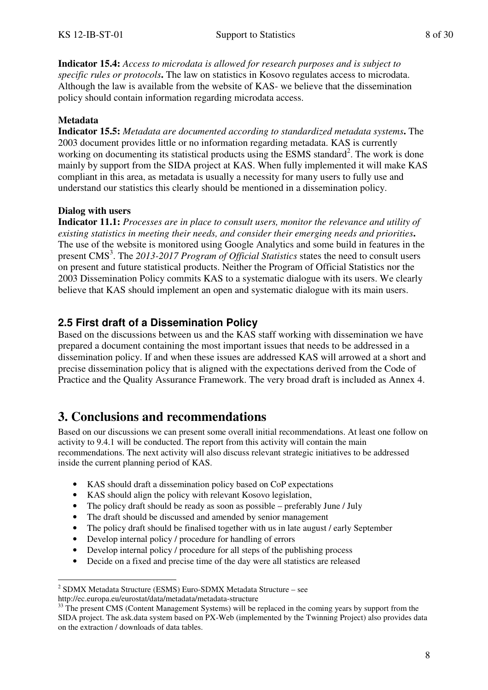**Indicator 15.4:** *Access to microdata is allowed for research purposes and is subject to specific rules or protocols***.** The law on statistics in Kosovo regulates access to microdata. Although the law is available from the website of KAS- we believe that the dissemination policy should contain information regarding microdata access.

#### **Metadata**

**Indicator 15.5:** *Metadata are documented according to standardized metadata systems***.** The 2003 document provides little or no information regarding metadata. KAS is currently working on documenting its statistical products using the ESMS standard<sup>2</sup>. The work is done mainly by support from the SIDA project at KAS. When fully implemented it will make KAS compliant in this area, as metadata is usually a necessity for many users to fully use and understand our statistics this clearly should be mentioned in a dissemination policy.

#### **Dialog with users**

**Indicator 11.1:** *Processes are in place to consult users, monitor the relevance and utility of existing statistics in meeting their needs, and consider their emerging needs and priorities***.**  The use of the website is monitored using Google Analytics and some build in features in the present CMS<sup>3</sup>. The 2013-2017 Program of Official Statistics states the need to consult users on present and future statistical products. Neither the Program of Official Statistics nor the 2003 Dissemination Policy commits KAS to a systematic dialogue with its users. We clearly believe that KAS should implement an open and systematic dialogue with its main users.

#### **2.5 First draft of a Dissemination Policy**

Based on the discussions between us and the KAS staff working with dissemination we have prepared a document containing the most important issues that needs to be addressed in a dissemination policy. If and when these issues are addressed KAS will arrowed at a short and precise dissemination policy that is aligned with the expectations derived from the Code of Practice and the Quality Assurance Framework. The very broad draft is included as Annex 4.

# **3. Conclusions and recommendations**

Based on our discussions we can present some overall initial recommendations. At least one follow on activity to 9.4.1 will be conducted. The report from this activity will contain the main recommendations. The next activity will also discuss relevant strategic initiatives to be addressed inside the current planning period of KAS.

- KAS should draft a dissemination policy based on CoP expectations
- KAS should align the policy with relevant Kosovo legislation,
- The policy draft should be ready as soon as possible preferably June / July
- The draft should be discussed and amended by senior management
- The policy draft should be finalised together with us in late august / early September
- Develop internal policy / procedure for handling of errors
- Develop internal policy / procedure for all steps of the publishing process
- Decide on a fixed and precise time of the day were all statistics are released

 $\overline{a}$ 2 SDMX Metadata Structure (ESMS) Euro-SDMX Metadata Structure – see http://ec.europa.eu/eurostat/data/metadata/metadata-structure

<sup>&</sup>lt;sup>33</sup> The present CMS (Content Management Systems) will be replaced in the coming years by support from the SIDA project. The ask.data system based on PX-Web (implemented by the Twinning Project) also provides data on the extraction / downloads of data tables.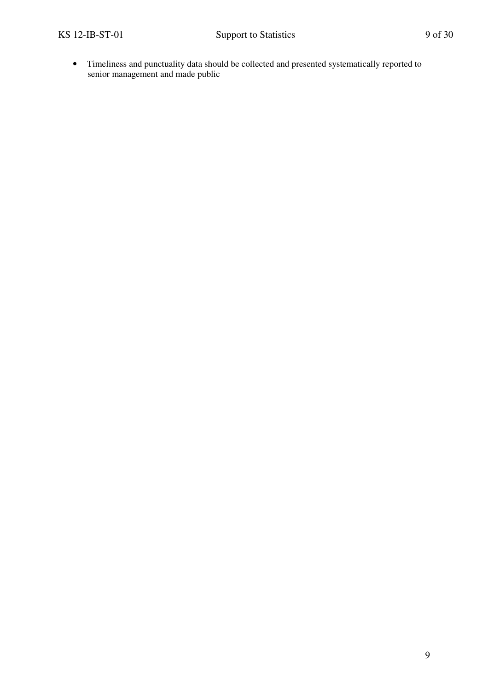• Timeliness and punctuality data should be collected and presented systematically reported to senior management and made public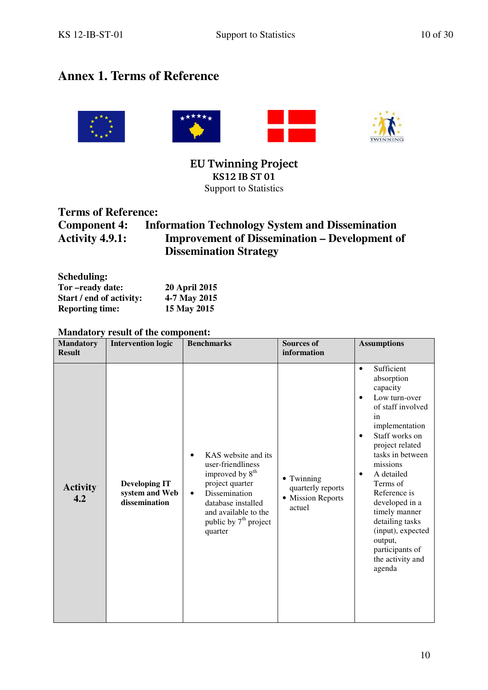# **Annex 1. Terms of Reference**





**EU Twinning Project KS12 IB ST 01**  Support to Statistics

## **Terms of Reference:**

**Component 4:** Information Technology System and Dissemination Activity 4.9.1: Improvement of Dissemination – Development or **Improvement of Dissemination – Development of Dissemination Strategy**

| Scheduling:              |                      |
|--------------------------|----------------------|
| Tor-ready date:          | <b>20 April 2015</b> |
| Start / end of activity: | 4-7 May 2015         |
| <b>Reporting time:</b>   | 15 May 2015          |

#### **Mandatory result of the component:**

|                                   | <b>Manuatory result of the component.</b>               |                                                                                                                                                                                                                        |                                                                |                                                                                                                                                                                                                                                                                                                                                                                                              |
|-----------------------------------|---------------------------------------------------------|------------------------------------------------------------------------------------------------------------------------------------------------------------------------------------------------------------------------|----------------------------------------------------------------|--------------------------------------------------------------------------------------------------------------------------------------------------------------------------------------------------------------------------------------------------------------------------------------------------------------------------------------------------------------------------------------------------------------|
| <b>Mandatory</b><br><b>Result</b> | <b>Intervention logic</b>                               | <b>Benchmarks</b>                                                                                                                                                                                                      | <b>Sources of</b><br>information                               | <b>Assumptions</b>                                                                                                                                                                                                                                                                                                                                                                                           |
|                                   |                                                         |                                                                                                                                                                                                                        |                                                                |                                                                                                                                                                                                                                                                                                                                                                                                              |
| <b>Activity</b><br>4.2            | <b>Developing IT</b><br>system and Web<br>dissemination | KAS website and its<br>user-friendliness<br>improved by 8 <sup>th</sup><br>project quarter<br>Dissemination<br>$\bullet$<br>database installed<br>and available to the<br>public by 7 <sup>th</sup> project<br>quarter | • Twinning<br>quarterly reports<br>• Mission Reports<br>actuel | Sufficient<br>$\bullet$<br>absorption<br>capacity<br>Low turn-over<br>$\bullet$<br>of staff involved<br>in<br>implementation<br>Staff works on<br>$\bullet$<br>project related<br>tasks in between<br>missions<br>A detailed<br>$\bullet$<br>Terms of<br>Reference is<br>developed in a<br>timely manner<br>detailing tasks<br>(input), expected<br>output,<br>participants of<br>the activity and<br>agenda |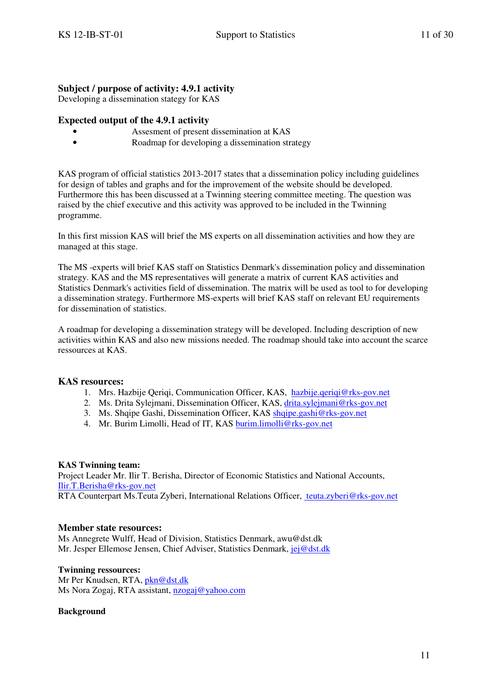#### **Subject / purpose of activity: 4.9.1 activity**

Developing a dissemination stategy for KAS

#### **Expected output of the 4.9.1 activity**

- Assesment of present dissemination at KAS
- Roadmap for developing a dissemination strategy

KAS program of official statistics 2013-2017 states that a dissemination policy including guidelines for design of tables and graphs and for the improvement of the website should be developed. Furthermore this has been discussed at a Twinning steering committee meeting. The question was raised by the chief executive and this activity was approved to be included in the Twinning programme.

In this first mission KAS will brief the MS experts on all dissemination activities and how they are managed at this stage.

The MS -experts will brief KAS staff on Statistics Denmark's dissemination policy and dissemination strategy. KAS and the MS representatives will generate a matrix of current KAS activities and Statistics Denmark's activities field of dissemination. The matrix will be used as tool to for developing a dissemination strategy. Furthermore MS-experts will brief KAS staff on relevant EU requirements for dissemination of statistics.

A roadmap for developing a dissemination strategy will be developed. Including description of new activities within KAS and also new missions needed. The roadmap should take into account the scarce ressources at KAS.

#### **KAS resources:**

- 1. Mrs. Hazbije Qeriqi, Communication Officer, KAS, hazbije.qeriqi@rks-gov.net
- 2. Ms. Drita Sylejmani, Dissemination Officer, KAS, drita.sylejmani@rks-gov.net
- 3. Ms. Shqipe Gashi, Dissemination Officer, KAS shqipe.gashi@rks-gov.net
- 4. Mr. Burim Limolli, Head of IT, KAS burim.limolli@rks-gov.net

#### **KAS Twinning team:**

Project Leader Mr. Ilir T. Berisha, Director of Economic Statistics and National Accounts, Ilir.T.Berisha@rks-gov.net

RTA Counterpart Ms.Teuta Zyberi, International Relations Officer, teuta.zyberi@rks-gov.net

#### **Member state resources:**

Ms Annegrete Wulff, Head of Division, Statistics Denmark, awu@dst.dk Mr. Jesper Ellemose Jensen, Chief Adviser, Statistics Denmark, jej@dst.dk

#### **Twinning ressources:**

Mr Per Knudsen, RTA, pkn@dst.dk Ms Nora Zogaj, RTA assistant, nzogaj@yahoo.com

#### **Background**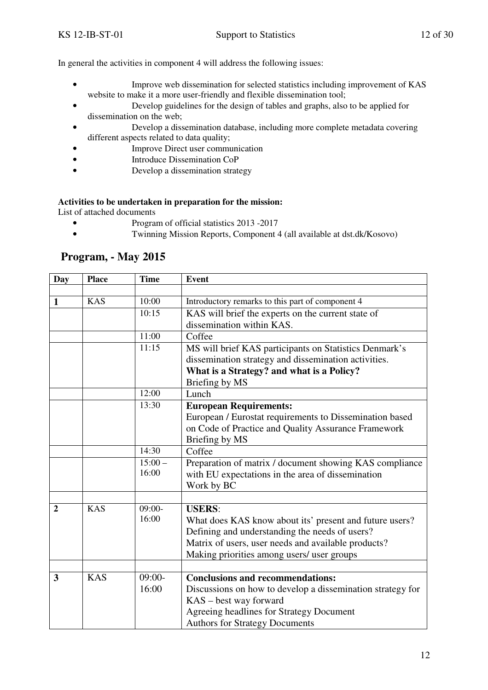In general the activities in component 4 will address the following issues:

- Improve web dissemination for selected statistics including improvement of KAS website to make it a more user-friendly and flexible dissemination tool;
- Develop guidelines for the design of tables and graphs, also to be applied for dissemination on the web;
- Develop a dissemination database, including more complete metadata covering different aspects related to data quality;
- Improve Direct user communication
- Introduce Dissemination CoP
- Develop a dissemination strategy

#### **Activities to be undertaken in preparation for the mission:**

List of attached documents

- Program of official statistics 2013 -2017
- Twinning Mission Reports, Component 4 (all available at dst.dk/Kosovo)

| <b>Day</b>     | <b>Place</b> | <b>Time</b>       | <b>Event</b>                                               |
|----------------|--------------|-------------------|------------------------------------------------------------|
|                |              |                   |                                                            |
| $\mathbf{1}$   | <b>KAS</b>   | 10:00             | Introductory remarks to this part of component 4           |
|                |              | 10:15             | KAS will brief the experts on the current state of         |
|                |              |                   | dissemination within KAS.                                  |
|                |              | 11:00             | Coffee                                                     |
|                |              | 11:15             | MS will brief KAS participants on Statistics Denmark's     |
|                |              |                   | dissemination strategy and dissemination activities.       |
|                |              |                   | What is a Strategy? and what is a Policy?                  |
|                |              |                   | Briefing by MS                                             |
|                |              | 12:00             | Lunch                                                      |
|                |              | 13:30             | <b>European Requirements:</b>                              |
|                |              |                   | European / Eurostat requirements to Dissemination based    |
|                |              |                   | on Code of Practice and Quality Assurance Framework        |
|                |              |                   | Briefing by MS                                             |
|                |              | 14:30             | Coffee                                                     |
|                |              | $15:00 -$         | Preparation of matrix / document showing KAS compliance    |
|                |              | 16:00             | with EU expectations in the area of dissemination          |
|                |              |                   | Work by BC                                                 |
|                |              |                   |                                                            |
| $\overline{2}$ | <b>KAS</b>   | $09:00-$<br>16:00 | <b>USERS:</b>                                              |
|                |              |                   | What does KAS know about its' present and future users?    |
|                |              |                   | Defining and understanding the needs of users?             |
|                |              |                   | Matrix of users, user needs and available products?        |
|                |              |                   | Making priorities among users/ user groups                 |
| 3              | <b>KAS</b>   | $09:00-$          |                                                            |
|                |              | 16:00             | <b>Conclusions and recommendations:</b>                    |
|                |              |                   | Discussions on how to develop a dissemination strategy for |
|                |              |                   | KAS – best way forward                                     |
|                |              |                   | Agreeing headlines for Strategy Document                   |
|                |              |                   | <b>Authors for Strategy Documents</b>                      |

## **Program, - May 2015**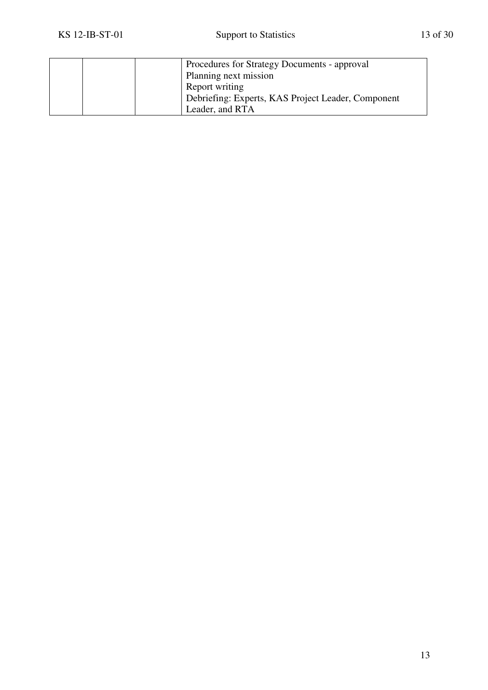|  | Procedures for Strategy Documents - approval       |
|--|----------------------------------------------------|
|  | Planning next mission                              |
|  | Report writing                                     |
|  | Debriefing: Experts, KAS Project Leader, Component |
|  | Leader, and RTA                                    |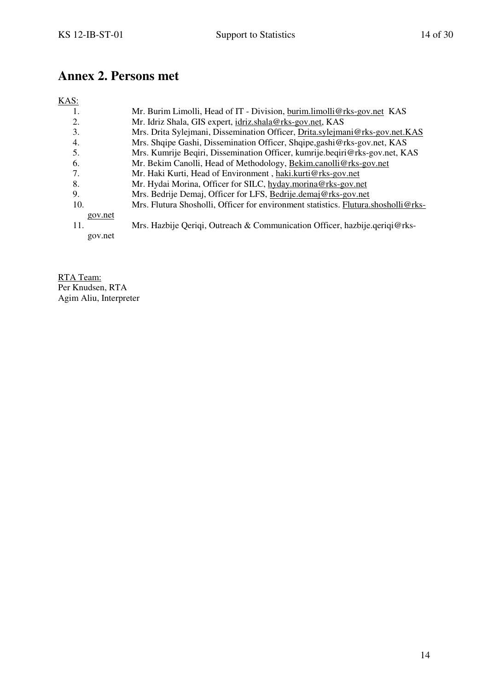# **Annex 2. Persons met**

# KAS:

| 1.      | Mr. Burim Limolli, Head of IT - Division, burim.limolli@rks-gov.net KAS            |
|---------|------------------------------------------------------------------------------------|
| 2.      | Mr. Idriz Shala, GIS expert, idriz.shala@rks-gov.net, KAS                          |
| 3.      | Mrs. Drita Sylejmani, Dissemination Officer, Drita.sylejmani@rks-gov.net.KAS       |
| 4.      | Mrs. Shqipe Gashi, Dissemination Officer, Shqipe, gashi@rks-gov.net, KAS           |
| 5.      | Mrs. Kumrije Begiri, Dissemination Officer, kumrije begiri@rks-gov.net, KAS        |
| 6.      | Mr. Bekim Canolli, Head of Methodology, Bekim.canolli@rks-gov.net                  |
| 7.      | Mr. Haki Kurti, Head of Environment, haki.kurti@rks-gov.net                        |
| 8.      | Mr. Hydai Morina, Officer for SILC, hyday.morina@rks-gov.net                       |
| 9.      | Mrs. Bedrije Demaj, Officer for LFS, Bedrije.demaj@rks-gov.net                     |
| 10.     | Mrs. Flutura Shosholli, Officer for environment statistics. Flutura.shosholli@rks- |
| gov.net |                                                                                    |
| 11.     | Mrs. Hazbije Qeriqi, Outreach & Communication Officer, hazbije.qeriqi@rks-         |
| gov.net |                                                                                    |

RTA Team: Per Knudsen, RTA Agim Aliu, Interpreter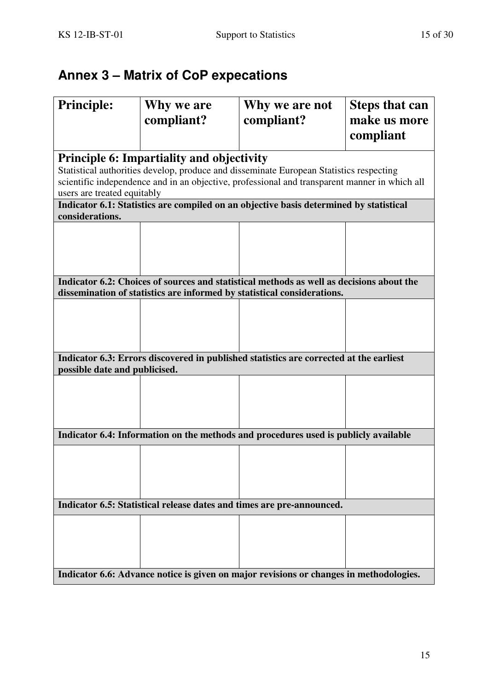# **Annex 3 – Matrix of CoP expecations**

| <b>Principle:</b>                                                                      | Why we are<br>compliant?                         | Why we are not<br>compliant?                                                                                                                                                             | <b>Steps that can</b><br>make us more |
|----------------------------------------------------------------------------------------|--------------------------------------------------|------------------------------------------------------------------------------------------------------------------------------------------------------------------------------------------|---------------------------------------|
|                                                                                        |                                                  |                                                                                                                                                                                          | compliant                             |
| users are treated equitably                                                            | <b>Principle 6: Impartiality and objectivity</b> | Statistical authorities develop, produce and disseminate European Statistics respecting<br>scientific independence and in an objective, professional and transparent manner in which all |                                       |
| considerations.                                                                        |                                                  | Indicator 6.1: Statistics are compiled on an objective basis determined by statistical                                                                                                   |                                       |
|                                                                                        |                                                  |                                                                                                                                                                                          |                                       |
|                                                                                        |                                                  | Indicator 6.2: Choices of sources and statistical methods as well as decisions about the<br>dissemination of statistics are informed by statistical considerations.                      |                                       |
|                                                                                        |                                                  |                                                                                                                                                                                          |                                       |
| possible date and publicised.                                                          |                                                  | Indicator 6.3: Errors discovered in published statistics are corrected at the earliest                                                                                                   |                                       |
|                                                                                        |                                                  |                                                                                                                                                                                          |                                       |
|                                                                                        |                                                  | Indicator 6.4: Information on the methods and procedures used is publicly available                                                                                                      |                                       |
|                                                                                        |                                                  |                                                                                                                                                                                          |                                       |
|                                                                                        |                                                  | Indicator 6.5: Statistical release dates and times are pre-announced.                                                                                                                    |                                       |
|                                                                                        |                                                  |                                                                                                                                                                                          |                                       |
| Indicator 6.6: Advance notice is given on major revisions or changes in methodologies. |                                                  |                                                                                                                                                                                          |                                       |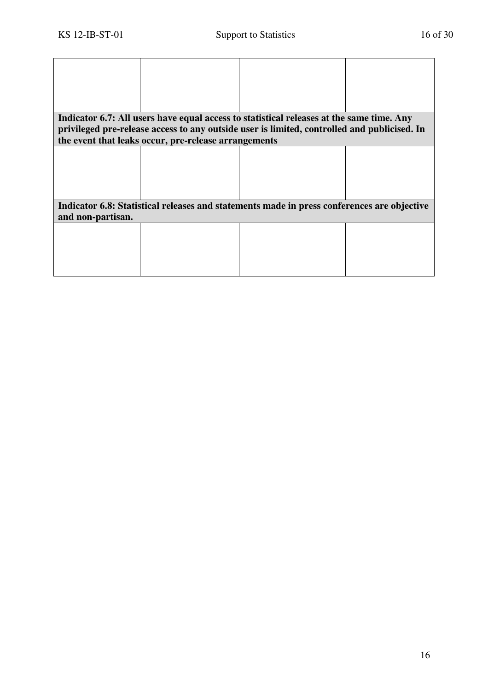|                   |                                                      | Indicator 6.7: All users have equal access to statistical releases at the same time. Any    |  |
|-------------------|------------------------------------------------------|---------------------------------------------------------------------------------------------|--|
|                   |                                                      | privileged pre-release access to any outside user is limited, controlled and publicised. In |  |
|                   | the event that leaks occur, pre-release arrangements |                                                                                             |  |
|                   |                                                      |                                                                                             |  |
|                   |                                                      |                                                                                             |  |
|                   |                                                      |                                                                                             |  |
|                   |                                                      |                                                                                             |  |
|                   |                                                      |                                                                                             |  |
|                   |                                                      | Indicator 6.8: Statistical releases and statements made in press conferences are objective  |  |
| and non-partisan. |                                                      |                                                                                             |  |
|                   |                                                      |                                                                                             |  |
|                   |                                                      |                                                                                             |  |
|                   |                                                      |                                                                                             |  |
|                   |                                                      |                                                                                             |  |
|                   |                                                      |                                                                                             |  |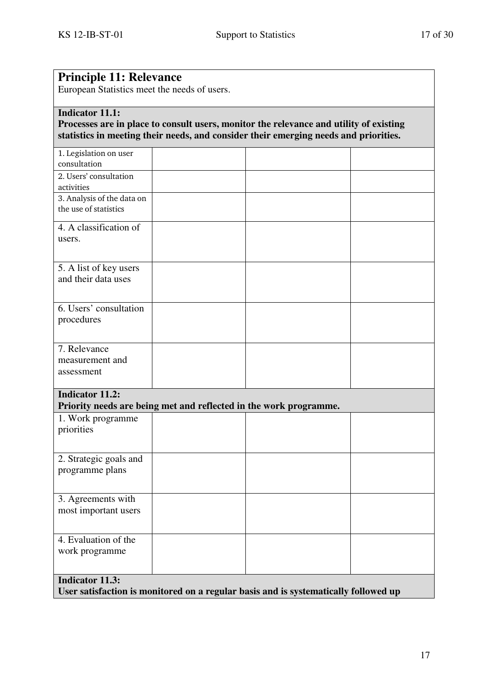| <b>Principle 11: Relevance</b><br>European Statistics meet the needs of users.                                                                                                                           |  |  |  |  |
|----------------------------------------------------------------------------------------------------------------------------------------------------------------------------------------------------------|--|--|--|--|
| <b>Indicator 11.1:</b><br>Processes are in place to consult users, monitor the relevance and utility of existing<br>statistics in meeting their needs, and consider their emerging needs and priorities. |  |  |  |  |
| 1. Legislation on user<br>consultation                                                                                                                                                                   |  |  |  |  |
| 2. Users' consultation<br>activities                                                                                                                                                                     |  |  |  |  |
| 3. Analysis of the data on<br>the use of statistics                                                                                                                                                      |  |  |  |  |
| 4. A classification of<br>users.                                                                                                                                                                         |  |  |  |  |
| 5. A list of key users<br>and their data uses                                                                                                                                                            |  |  |  |  |
| 6. Users' consultation<br>procedures                                                                                                                                                                     |  |  |  |  |
| 7. Relevance<br>measurement and<br>assessment                                                                                                                                                            |  |  |  |  |
| <b>Indicator 11.2:</b><br>Priority needs are being met and reflected in the work programme.                                                                                                              |  |  |  |  |
| 1. Work programme<br>priorities                                                                                                                                                                          |  |  |  |  |
| 2. Strategic goals and<br>programme plans                                                                                                                                                                |  |  |  |  |
| 3. Agreements with<br>most important users                                                                                                                                                               |  |  |  |  |
| 4. Evaluation of the<br>work programme                                                                                                                                                                   |  |  |  |  |
| <b>Indicator 11.3:</b><br>User satisfaction is monitored on a regular basis and is systematically followed up                                                                                            |  |  |  |  |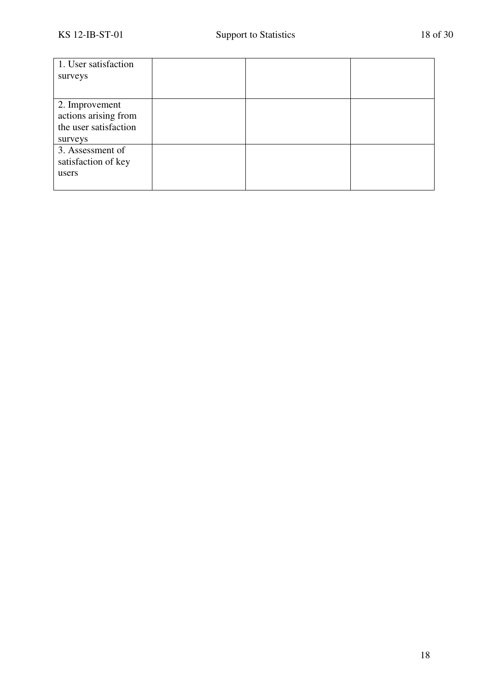| 1. User satisfaction<br>surveys                                            |  |  |
|----------------------------------------------------------------------------|--|--|
| 2. Improvement<br>actions arising from<br>the user satisfaction<br>surveys |  |  |
| 3. Assessment of<br>satisfaction of key<br>users                           |  |  |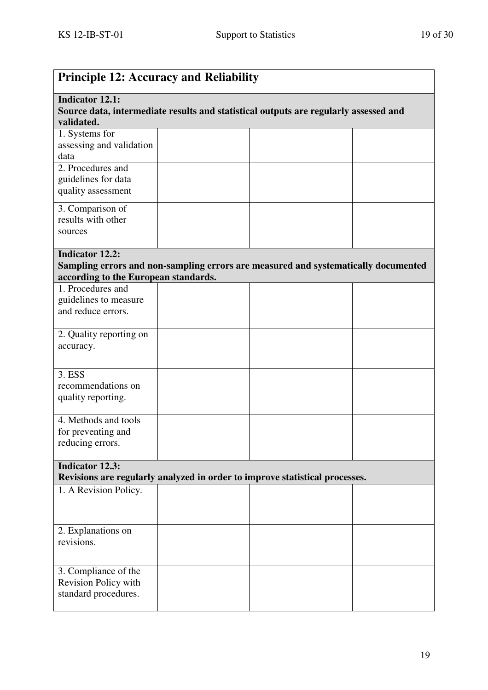| <b>Principle 12: Accuracy and Reliability</b>                                                                                |  |                                                                                    |  |  |
|------------------------------------------------------------------------------------------------------------------------------|--|------------------------------------------------------------------------------------|--|--|
| <b>Indicator 12.1:</b><br>Source data, intermediate results and statistical outputs are regularly assessed and<br>validated. |  |                                                                                    |  |  |
| 1. Systems for<br>assessing and validation<br>data                                                                           |  |                                                                                    |  |  |
| 2. Procedures and<br>guidelines for data<br>quality assessment                                                               |  |                                                                                    |  |  |
| 3. Comparison of<br>results with other<br>sources                                                                            |  |                                                                                    |  |  |
| <b>Indicator 12.2:</b><br>according to the European standards.                                                               |  | Sampling errors and non-sampling errors are measured and systematically documented |  |  |
| 1. Procedures and<br>guidelines to measure<br>and reduce errors.                                                             |  |                                                                                    |  |  |
| 2. Quality reporting on<br>accuracy.                                                                                         |  |                                                                                    |  |  |
| 3. ESS<br>recommendations on<br>quality reporting.                                                                           |  |                                                                                    |  |  |
| 4. Methods and tools<br>for preventing and<br>reducing errors.                                                               |  |                                                                                    |  |  |
| <b>Indicator 12.3:</b>                                                                                                       |  | Revisions are regularly analyzed in order to improve statistical processes.        |  |  |
| 1. A Revision Policy.                                                                                                        |  |                                                                                    |  |  |
| 2. Explanations on<br>revisions.                                                                                             |  |                                                                                    |  |  |
| 3. Compliance of the<br>Revision Policy with<br>standard procedures.                                                         |  |                                                                                    |  |  |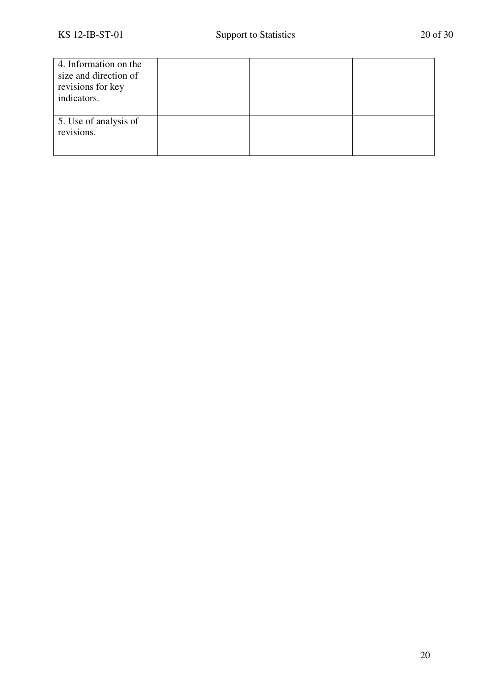| 4. Information on the |  |  |
|-----------------------|--|--|
| size and direction of |  |  |
| revisions for key     |  |  |
| indicators.           |  |  |
|                       |  |  |
| 5. Use of analysis of |  |  |
| revisions.            |  |  |
|                       |  |  |
|                       |  |  |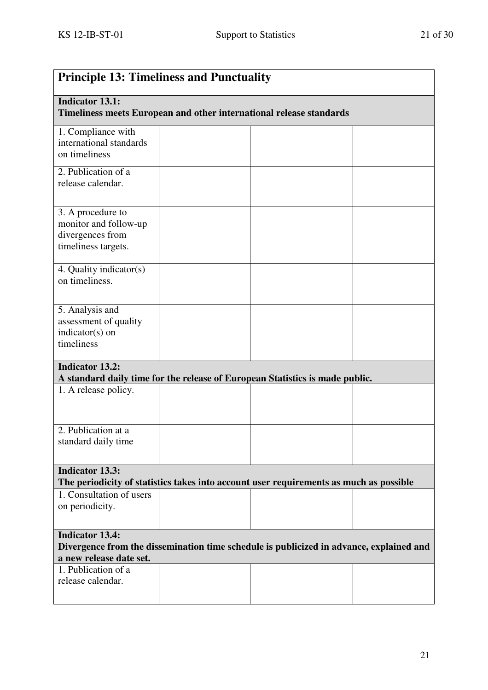| <b>Principle 13: Timeliness and Punctuality</b>                                                                                              |  |                                                                              |  |
|----------------------------------------------------------------------------------------------------------------------------------------------|--|------------------------------------------------------------------------------|--|
| <b>Indicator 13.1:</b><br>Timeliness meets European and other international release standards                                                |  |                                                                              |  |
| 1. Compliance with<br>international standards<br>on timeliness                                                                               |  |                                                                              |  |
| 2. Publication of a<br>release calendar.                                                                                                     |  |                                                                              |  |
| 3. A procedure to<br>monitor and follow-up<br>divergences from<br>timeliness targets.                                                        |  |                                                                              |  |
| 4. Quality indicator(s)<br>on timeliness.                                                                                                    |  |                                                                              |  |
| 5. Analysis and<br>assessment of quality<br>indicator(s) on<br>timeliness                                                                    |  |                                                                              |  |
| <b>Indicator 13.2:</b>                                                                                                                       |  | A standard daily time for the release of European Statistics is made public. |  |
| 1. A release policy.                                                                                                                         |  |                                                                              |  |
| 2. Publication at a<br>standard daily time                                                                                                   |  |                                                                              |  |
| <b>Indicator 13.3:</b><br>The periodicity of statistics takes into account user requirements as much as possible                             |  |                                                                              |  |
| 1. Consultation of users<br>on periodicity.                                                                                                  |  |                                                                              |  |
| <b>Indicator 13.4:</b><br>Divergence from the dissemination time schedule is publicized in advance, explained and<br>a new release date set. |  |                                                                              |  |
| 1. Publication of a<br>release calendar.                                                                                                     |  |                                                                              |  |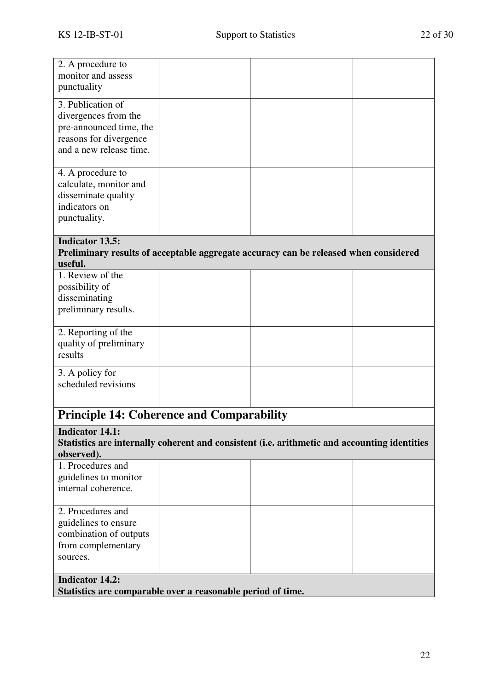| 2. A procedure to<br>monitor and assess<br>punctuality                                                                               |  |  |  |  |
|--------------------------------------------------------------------------------------------------------------------------------------|--|--|--|--|
| 3. Publication of<br>divergences from the<br>pre-announced time, the<br>reasons for divergence<br>and a new release time.            |  |  |  |  |
| 4. A procedure to<br>calculate, monitor and<br>disseminate quality<br>indicators on<br>punctuality.                                  |  |  |  |  |
| <b>Indicator 13.5:</b><br>Preliminary results of acceptable aggregate accuracy can be released when considered<br>useful.            |  |  |  |  |
| 1. Review of the<br>possibility of<br>disseminating<br>preliminary results.                                                          |  |  |  |  |
| 2. Reporting of the<br>quality of preliminary<br>results                                                                             |  |  |  |  |
| 3. A policy for<br>scheduled revisions                                                                                               |  |  |  |  |
| <b>Principle 14: Coherence and Comparability</b>                                                                                     |  |  |  |  |
| <b>Indicator 14.1:</b><br>Statistics are internally coherent and consistent (i.e. arithmetic and accounting identities<br>observed). |  |  |  |  |
| 1. Procedures and<br>guidelines to monitor<br>internal coherence.                                                                    |  |  |  |  |
| 2. Procedures and<br>guidelines to ensure<br>combination of outputs<br>from complementary<br>sources.                                |  |  |  |  |
| <b>Indicator 14.2:</b><br>Statistics are comparable over a reasonable period of time.                                                |  |  |  |  |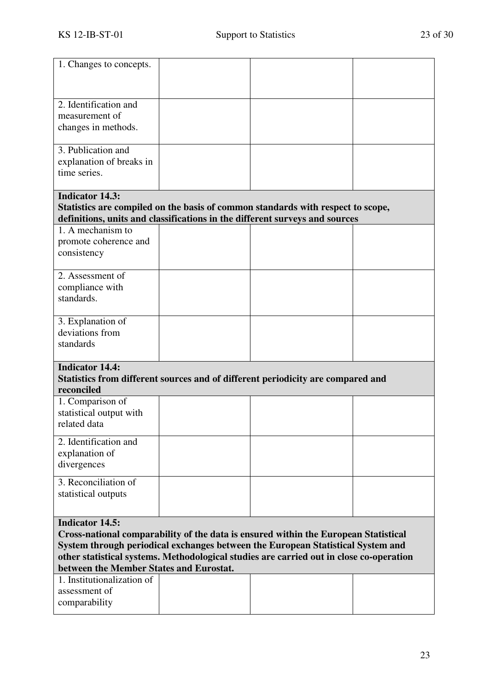| 1. Changes to concepts.                                                                                                                                                                                                                                                                                                                |                                                                                 |                                                                                                                                                                |  |  |
|----------------------------------------------------------------------------------------------------------------------------------------------------------------------------------------------------------------------------------------------------------------------------------------------------------------------------------------|---------------------------------------------------------------------------------|----------------------------------------------------------------------------------------------------------------------------------------------------------------|--|--|
| 2. Identification and<br>measurement of<br>changes in methods.                                                                                                                                                                                                                                                                         |                                                                                 |                                                                                                                                                                |  |  |
| 3. Publication and<br>explanation of breaks in<br>time series.                                                                                                                                                                                                                                                                         |                                                                                 |                                                                                                                                                                |  |  |
| <b>Indicator 14.3:</b>                                                                                                                                                                                                                                                                                                                 |                                                                                 | Statistics are compiled on the basis of common standards with respect to scope,<br>definitions, units and classifications in the different surveys and sources |  |  |
| 1. A mechanism to<br>promote coherence and<br>consistency                                                                                                                                                                                                                                                                              |                                                                                 |                                                                                                                                                                |  |  |
| 2. Assessment of<br>compliance with<br>standards.                                                                                                                                                                                                                                                                                      |                                                                                 |                                                                                                                                                                |  |  |
| 3. Explanation of<br>deviations from<br>standards                                                                                                                                                                                                                                                                                      |                                                                                 |                                                                                                                                                                |  |  |
| <b>Indicator 14.4:</b><br>reconciled                                                                                                                                                                                                                                                                                                   | Statistics from different sources and of different periodicity are compared and |                                                                                                                                                                |  |  |
| 1. Comparison of<br>statistical output with<br>related data                                                                                                                                                                                                                                                                            |                                                                                 |                                                                                                                                                                |  |  |
| 2. Identification and<br>explanation of<br>divergences                                                                                                                                                                                                                                                                                 |                                                                                 |                                                                                                                                                                |  |  |
| 3. Reconciliation of<br>statistical outputs                                                                                                                                                                                                                                                                                            |                                                                                 |                                                                                                                                                                |  |  |
| <b>Indicator 14.5:</b><br>Cross-national comparability of the data is ensured within the European Statistical<br>System through periodical exchanges between the European Statistical System and<br>other statistical systems. Methodological studies are carried out in close co-operation<br>between the Member States and Eurostat. |                                                                                 |                                                                                                                                                                |  |  |
| 1. Institutionalization of<br>assessment of<br>comparability                                                                                                                                                                                                                                                                           |                                                                                 |                                                                                                                                                                |  |  |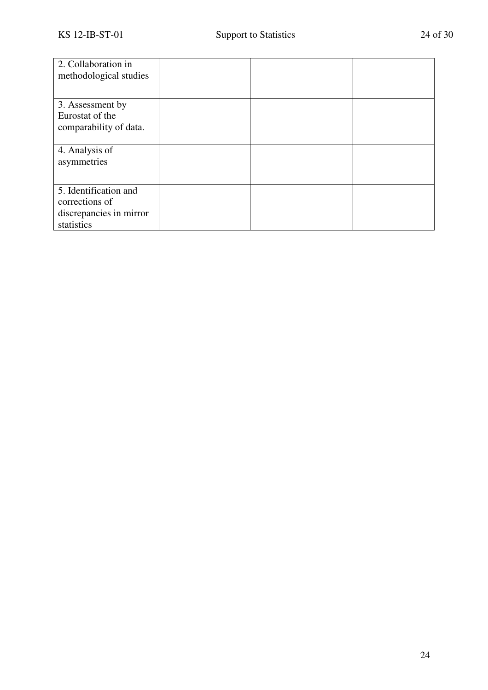| 2. Collaboration in<br>methodological studies                                    |  |  |
|----------------------------------------------------------------------------------|--|--|
| 3. Assessment by<br>Eurostat of the<br>comparability of data.                    |  |  |
| 4. Analysis of<br>asymmetries                                                    |  |  |
| 5. Identification and<br>corrections of<br>discrepancies in mirror<br>statistics |  |  |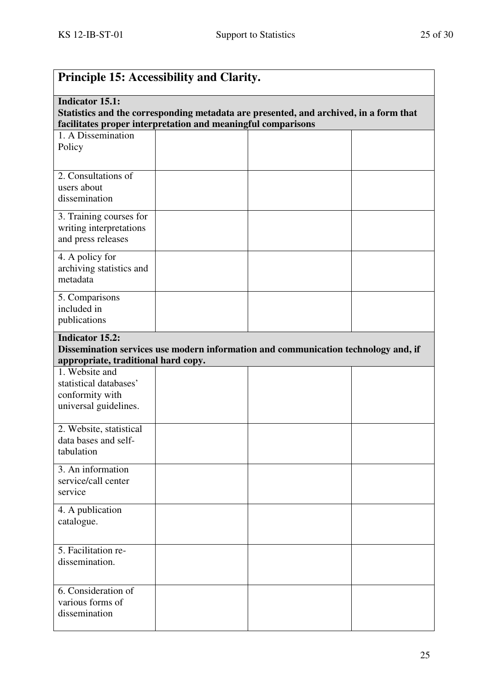| <b>Principle 15: Accessibility and Clarity.</b>                                                                                                                                 |  |                                                                                    |  |  |
|---------------------------------------------------------------------------------------------------------------------------------------------------------------------------------|--|------------------------------------------------------------------------------------|--|--|
| <b>Indicator 15.1:</b><br>Statistics and the corresponding metadata are presented, and archived, in a form that<br>facilitates proper interpretation and meaningful comparisons |  |                                                                                    |  |  |
| 1. A Dissemination<br>Policy                                                                                                                                                    |  |                                                                                    |  |  |
| 2. Consultations of<br>users about<br>dissemination                                                                                                                             |  |                                                                                    |  |  |
| 3. Training courses for<br>writing interpretations<br>and press releases                                                                                                        |  |                                                                                    |  |  |
| 4. A policy for<br>archiving statistics and<br>metadata                                                                                                                         |  |                                                                                    |  |  |
| 5. Comparisons<br>included in<br>publications                                                                                                                                   |  |                                                                                    |  |  |
| <b>Indicator 15.2:</b><br>appropriate, traditional hard copy.                                                                                                                   |  | Dissemination services use modern information and communication technology and, if |  |  |
| 1. Website and<br>statistical databases'<br>conformity with<br>universal guidelines.                                                                                            |  |                                                                                    |  |  |
| 2. Website, statistical<br>data bases and self-<br>tabulation                                                                                                                   |  |                                                                                    |  |  |
| 3. An information<br>service/call center<br>service                                                                                                                             |  |                                                                                    |  |  |
| 4. A publication<br>catalogue.                                                                                                                                                  |  |                                                                                    |  |  |
| 5. Facilitation re-<br>dissemination.                                                                                                                                           |  |                                                                                    |  |  |
| 6. Consideration of<br>various forms of<br>dissemination                                                                                                                        |  |                                                                                    |  |  |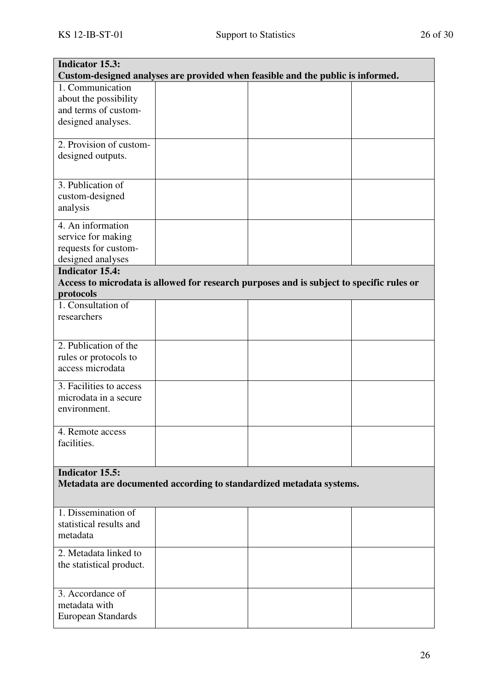| <b>Indicator 15.3:</b><br>Custom-designed analyses are provided when feasible and the public is informed. |  |                                                                                          |  |
|-----------------------------------------------------------------------------------------------------------|--|------------------------------------------------------------------------------------------|--|
| 1. Communication<br>about the possibility                                                                 |  |                                                                                          |  |
| and terms of custom-                                                                                      |  |                                                                                          |  |
| designed analyses.                                                                                        |  |                                                                                          |  |
|                                                                                                           |  |                                                                                          |  |
| 2. Provision of custom-                                                                                   |  |                                                                                          |  |
| designed outputs.                                                                                         |  |                                                                                          |  |
| 3. Publication of                                                                                         |  |                                                                                          |  |
| custom-designed                                                                                           |  |                                                                                          |  |
| analysis                                                                                                  |  |                                                                                          |  |
| 4. An information                                                                                         |  |                                                                                          |  |
| service for making                                                                                        |  |                                                                                          |  |
| requests for custom-                                                                                      |  |                                                                                          |  |
| designed analyses                                                                                         |  |                                                                                          |  |
| <b>Indicator 15.4:</b>                                                                                    |  |                                                                                          |  |
|                                                                                                           |  | Access to microdata is allowed for research purposes and is subject to specific rules or |  |
| protocols                                                                                                 |  |                                                                                          |  |
| 1. Consultation of                                                                                        |  |                                                                                          |  |
| researchers                                                                                               |  |                                                                                          |  |
|                                                                                                           |  |                                                                                          |  |
| 2. Publication of the                                                                                     |  |                                                                                          |  |
| rules or protocols to                                                                                     |  |                                                                                          |  |
| access microdata                                                                                          |  |                                                                                          |  |
| 3. Facilities to access                                                                                   |  |                                                                                          |  |
| microdata in a secure                                                                                     |  |                                                                                          |  |
| environment.                                                                                              |  |                                                                                          |  |
| 4. Remote access                                                                                          |  |                                                                                          |  |
| facilities.                                                                                               |  |                                                                                          |  |
|                                                                                                           |  |                                                                                          |  |
| <b>Indicator 15.5:</b>                                                                                    |  |                                                                                          |  |
|                                                                                                           |  | Metadata are documented according to standardized metadata systems.                      |  |
|                                                                                                           |  |                                                                                          |  |
| 1. Dissemination of                                                                                       |  |                                                                                          |  |
| statistical results and                                                                                   |  |                                                                                          |  |
| metadata                                                                                                  |  |                                                                                          |  |
| 2. Metadata linked to                                                                                     |  |                                                                                          |  |
| the statistical product.                                                                                  |  |                                                                                          |  |
|                                                                                                           |  |                                                                                          |  |
| 3. Accordance of                                                                                          |  |                                                                                          |  |
| metadata with                                                                                             |  |                                                                                          |  |
| <b>European Standards</b>                                                                                 |  |                                                                                          |  |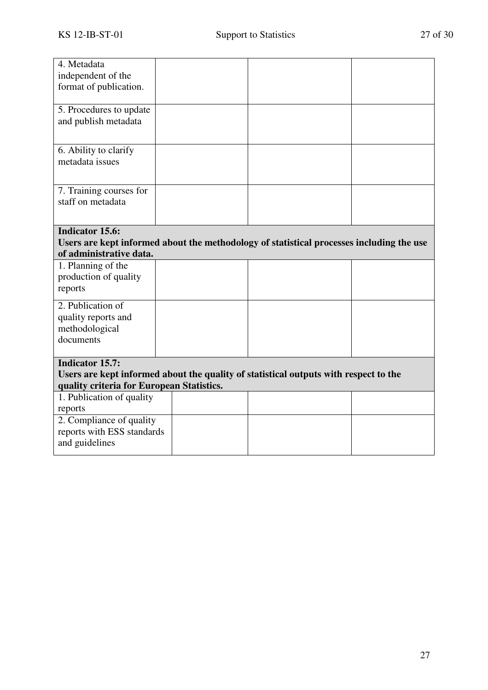| 4. Metadata<br>independent of the<br>format of publication.                                                                                                 |  |  |  |
|-------------------------------------------------------------------------------------------------------------------------------------------------------------|--|--|--|
| 5. Procedures to update<br>and publish metadata                                                                                                             |  |  |  |
| 6. Ability to clarify<br>metadata issues                                                                                                                    |  |  |  |
| 7. Training courses for<br>staff on metadata                                                                                                                |  |  |  |
| <b>Indicator 15.6:</b><br>Users are kept informed about the methodology of statistical processes including the use<br>of administrative data.               |  |  |  |
| 1. Planning of the<br>production of quality<br>reports                                                                                                      |  |  |  |
| 2. Publication of<br>quality reports and<br>methodological<br>documents                                                                                     |  |  |  |
| <b>Indicator 15.7:</b><br>Users are kept informed about the quality of statistical outputs with respect to the<br>quality criteria for European Statistics. |  |  |  |
| 1. Publication of quality<br>reports                                                                                                                        |  |  |  |
| 2. Compliance of quality<br>reports with ESS standards<br>and guidelines                                                                                    |  |  |  |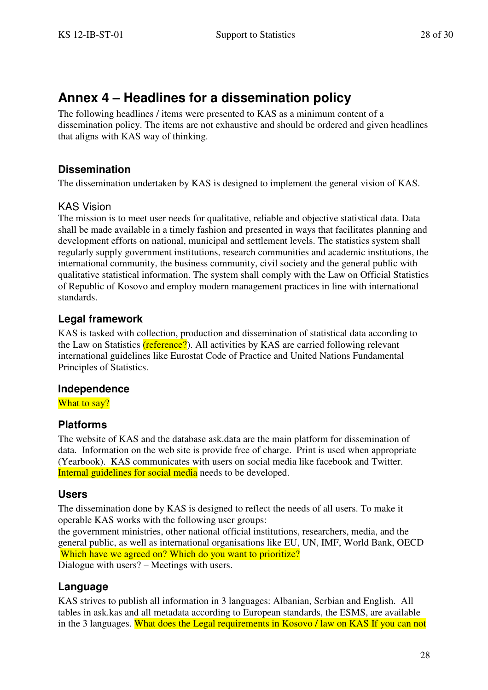# **Annex 4 – Headlines for a dissemination policy**

The following headlines / items were presented to KAS as a minimum content of a dissemination policy. The items are not exhaustive and should be ordered and given headlines that aligns with KAS way of thinking.

# **Dissemination**

The dissemination undertaken by KAS is designed to implement the general vision of KAS.

## KAS Vision

The mission is to meet user needs for qualitative, reliable and objective statistical data. Data shall be made available in a timely fashion and presented in ways that facilitates planning and development efforts on national, municipal and settlement levels. The statistics system shall regularly supply government institutions, research communities and academic institutions, the international community, the business community, civil society and the general public with qualitative statistical information. The system shall comply with the Law on Official Statistics of Republic of Kosovo and employ modern management practices in line with international standards.

# **Legal framework**

KAS is tasked with collection, production and dissemination of statistical data according to the Law on Statistics (reference?). All activities by KAS are carried following relevant international guidelines like Eurostat Code of Practice and United Nations Fundamental Principles of Statistics.

### **Independence**

What to say?

# **Platforms**

The website of KAS and the database ask.data are the main platform for dissemination of data. Information on the web site is provide free of charge. Print is used when appropriate (Yearbook). KAS communicates with users on social media like facebook and Twitter. Internal guidelines for social media needs to be developed.

### **Users**

The dissemination done by KAS is designed to reflect the needs of all users. To make it operable KAS works with the following user groups:

the government ministries, other national official institutions, researchers, media, and the general public, as well as international organisations like EU, UN, IMF, World Bank, OECD Which have we agreed on? Which do you want to prioritize?

Dialogue with users? – Meetings with users.

### **Language**

KAS strives to publish all information in 3 languages: Albanian, Serbian and English. All tables in ask.kas and all metadata according to European standards, the ESMS, are available in the 3 languages. What does the Legal requirements in Kosovo / law on KAS If you can not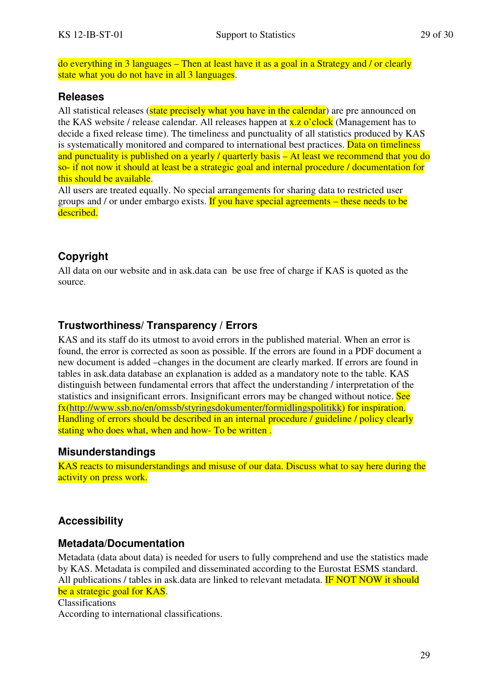do everything in 3 languages – Then at least have it as a goal in a Strategy and / or clearly state what you do not have in all 3 languages.

### **Releases**

All statistical releases (state precisely what you have in the calendar) are pre announced on the KAS website / release calendar. All releases happen at  $x.z$  o'clock (Management has to decide a fixed release time). The timeliness and punctuality of all statistics produced by KAS is systematically monitored and compared to international best practices. Data on timeliness and punctuality is published on a yearly / quarterly basis – At least we recommend that you do so- if not now it should at least be a strategic goal and internal procedure / documentation for this should be available.

All users are treated equally. No special arrangements for sharing data to restricted user groups and / or under embargo exists. If you have special agreements – these needs to be described.

# **Copyright**

All data on our website and in ask.data can be use free of charge if KAS is quoted as the source.

## **Trustworthiness/ Transparency / Errors**

KAS and its staff do its utmost to avoid errors in the published material. When an error is found, the error is corrected as soon as possible. If the errors are found in a PDF document a new document is added –changes in the document are clearly marked. If errors are found in tables in ask.data database an explanation is added as a mandatory note to the table. KAS distinguish between fundamental errors that affect the understanding / interpretation of the statistics and insignificant errors. Insignificant errors may be changed without notice. See fx(http://www.ssb.no/en/omssb/styringsdokumenter/formidlingspolitikk) for inspiration. Handling of errors should be described in an internal procedure / guideline / policy clearly stating who does what, when and how- To be written .

### **Misunderstandings**

KAS reacts to misunderstandings and misuse of our data. Discuss what to say here during the activity on press work.

### **Accessibility**

#### **Metadata/Documentation**

Metadata (data about data) is needed for users to fully comprehend and use the statistics made by KAS. Metadata is compiled and disseminated according to the Eurostat ESMS standard. All publications / tables in ask.data are linked to relevant metadata. **IF NOT NOW it should** be a strategic goal for KAS.

#### Classifications

According to international classifications.